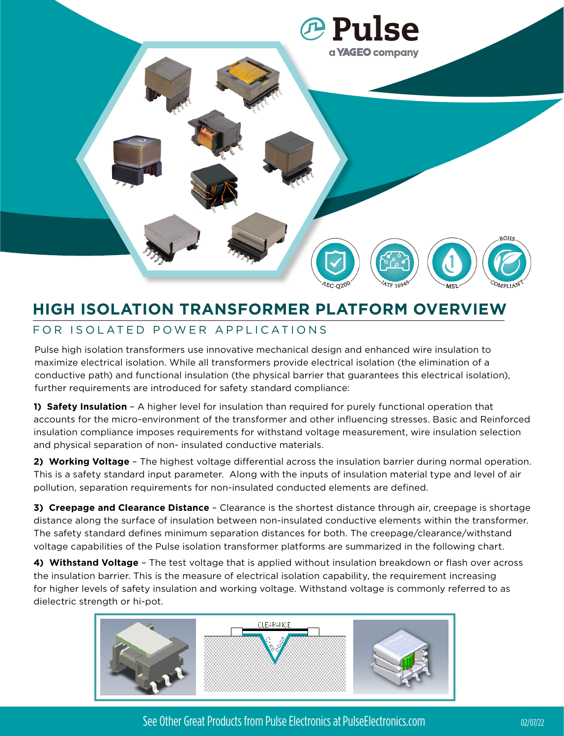

### **HIGH ISOLATION TRANSFORMER PLATFORM OVERVIEW** FOR ISOLATED POWER APPLICATIONS

Pulse high isolation transformers use innovative mechanical design and enhanced wire insulation to maximize electrical isolation. While all transformers provide electrical isolation (the elimination of a conductive path) and functional insulation (the physical barrier that guarantees this electrical isolation), further requirements are introduced for safety standard compliance:

**1) Safety Insulation** – A higher level for insulation than required for purely functional operation that accounts for the micro-environment of the transformer and other influencing stresses. Basic and Reinforced insulation compliance imposes requirements for withstand voltage measurement, wire insulation selection and physical separation of non- insulated conductive materials.

**2) Working Voltage** – The highest voltage differential across the insulation barrier during normal operation. This is a safety standard input parameter. Along with the inputs of insulation material type and level of air pollution, separation requirements for non-insulated conducted elements are defined.

**3) Creepage and Clearance Distance** – Clearance is the shortest distance through air, creepage is shortage distance along the surface of insulation between non-insulated conductive elements within the transformer. The safety standard defines minimum separation distances for both. The creepage/clearance/withstand voltage capabilities of the Pulse isolation transformer platforms are summarized in the following chart.

**4) Withstand Voltage** – The test voltage that is applied without insulation breakdown or flash over across the insulation barrier. This is the measure of electrical isolation capability, the requirement increasing for higher levels of safety insulation and working voltage. Withstand voltage is commonly referred to as dielectric strength or hi-pot.



See Other Great Products from Pulse Electronics at PulseElectronics.com 02/07/22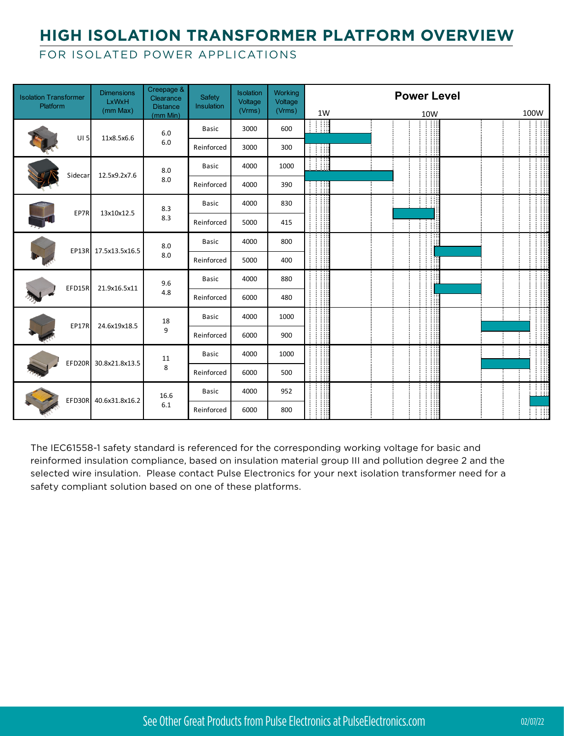# **HIGH ISOLATION TRANSFORMER PLATFORM OVERVIEW**

#### FOR ISOLATED POWER APPLICATIONS

| <b>Isolation Transformer</b><br><b>Platform</b> |                 | <b>Dimensions</b><br>LxWxH | Creepage &<br>Clearance<br><b>Distance</b> | Safety<br>Insulation | Isolation<br>Voltage | <b>Working</b><br>Voltage |    | <b>Power Level</b> |      |
|-------------------------------------------------|-----------------|----------------------------|--------------------------------------------|----------------------|----------------------|---------------------------|----|--------------------|------|
|                                                 |                 | (mm Max)                   | $(mm$ Min $)$                              |                      | (Vrms)               | (Vrms)                    | 1W | 10W                | 100W |
|                                                 | UI <sub>5</sub> | 11x8.5x6.6                 | 6.0<br>6.0                                 | <b>Basic</b>         | 3000                 | 600                       | Ħ  |                    |      |
|                                                 |                 |                            |                                            | Reinforced           | 3000                 | 300                       | H  |                    | 110  |
|                                                 | Sidecar         | 12.5x9.2x7.6               | 8.0<br>8.0                                 | <b>Basic</b>         | 4000                 | 1000                      | W  |                    |      |
|                                                 |                 |                            |                                            | Reinforced           | 4000                 | 390                       |    |                    |      |
|                                                 | EP7R            | 13x10x12.5                 | 8.3<br>8.3                                 | <b>Basic</b>         | 4000                 | 830                       |    |                    |      |
|                                                 |                 |                            |                                            | Reinforced           | 5000                 | 415                       |    |                    |      |
|                                                 |                 | EP13R 17.5x13.5x16.5       | 8.0<br>8.0                                 | <b>Basic</b>         | 4000                 | 800                       |    |                    |      |
|                                                 |                 |                            |                                            | Reinforced           | 5000                 | 400                       |    |                    |      |
|                                                 | EFD15R          | 21.9x16.5x11               | 9.6<br>4.8                                 | <b>Basic</b>         | 4000                 | 880                       |    |                    |      |
|                                                 |                 |                            |                                            | Reinforced           | 6000                 | 480                       |    |                    |      |
|                                                 | EP17R           | 24.6x19x18.5               | 18<br>9                                    | <b>Basic</b>         | 4000                 | 1000                      |    |                    |      |
|                                                 |                 |                            |                                            | Reinforced           | 6000                 | 900                       |    |                    | - 11 |
|                                                 | EFD20R          | 30.8x21.8x13.5             | 11<br>8                                    | <b>Basic</b>         | 4000                 | 1000                      |    |                    |      |
|                                                 |                 |                            |                                            | Reinforced           | 6000                 | 500                       |    | H                  | A.   |
|                                                 | EFD30R          | 40.6x31.8x16.2             | 16.6<br>6.1                                | <b>Basic</b>         | 4000                 | 952                       |    |                    | 18   |
|                                                 |                 |                            |                                            | Reinforced           | 6000                 | 800                       |    |                    | T    |

The IEC61558-1 safety standard is referenced for the corresponding working voltage for basic and reinformed insulation compliance, based on insulation material group III and pollution degree 2 and the selected wire insulation. Please contact Pulse Electronics for your next isolation transformer need for a safety compliant solution based on one of these platforms.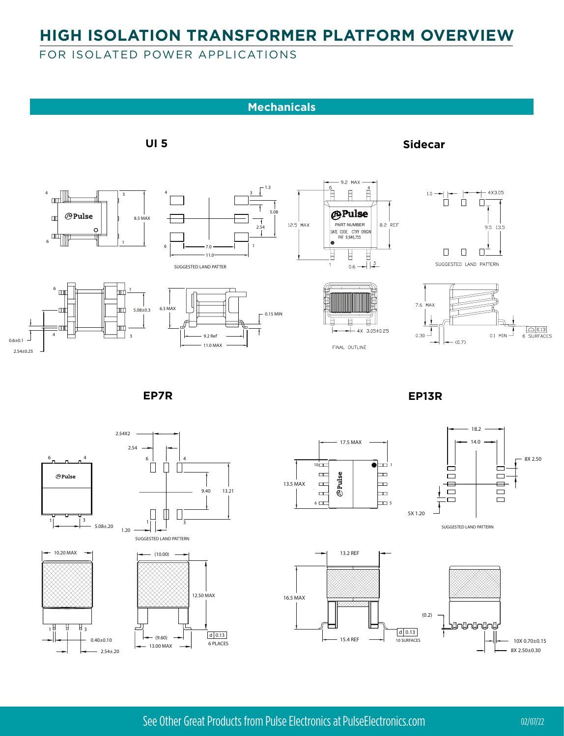## **HIGH ISOLATION TRANSFORMER PLATFORM OVERVIEW**

#### FOR ISOLATED POWER APPLICATIONS





 $\Box$ Ш  $\perp$ 

 $11$ 



1 3

5.08±.20

1.20



 $\Box$  $\Box$ 5X 1.20





See Other Great Products from Pulse Electronics at PulseElectronics.com 02/07/22